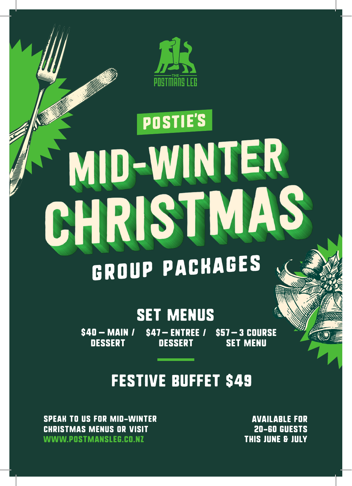

# **POSTIE'S** D-WINTER HRIST TMA

## Group Packages

### SET MENUS

 $$40 - MAIN /$ **DESSERT** \$47-ENTREE / **DESSERT** \$57-3 COURSE SET MENU

### FESTIVE BUFFET \$49

SPEAK TO US FOR MID-WINTER CHRISTMAS MENUS OR VISIT WWW.POSTMANSLEG.CO.NZ

AVAILABLE FOR 20-60 GUESTS THIS JUNE & JULY